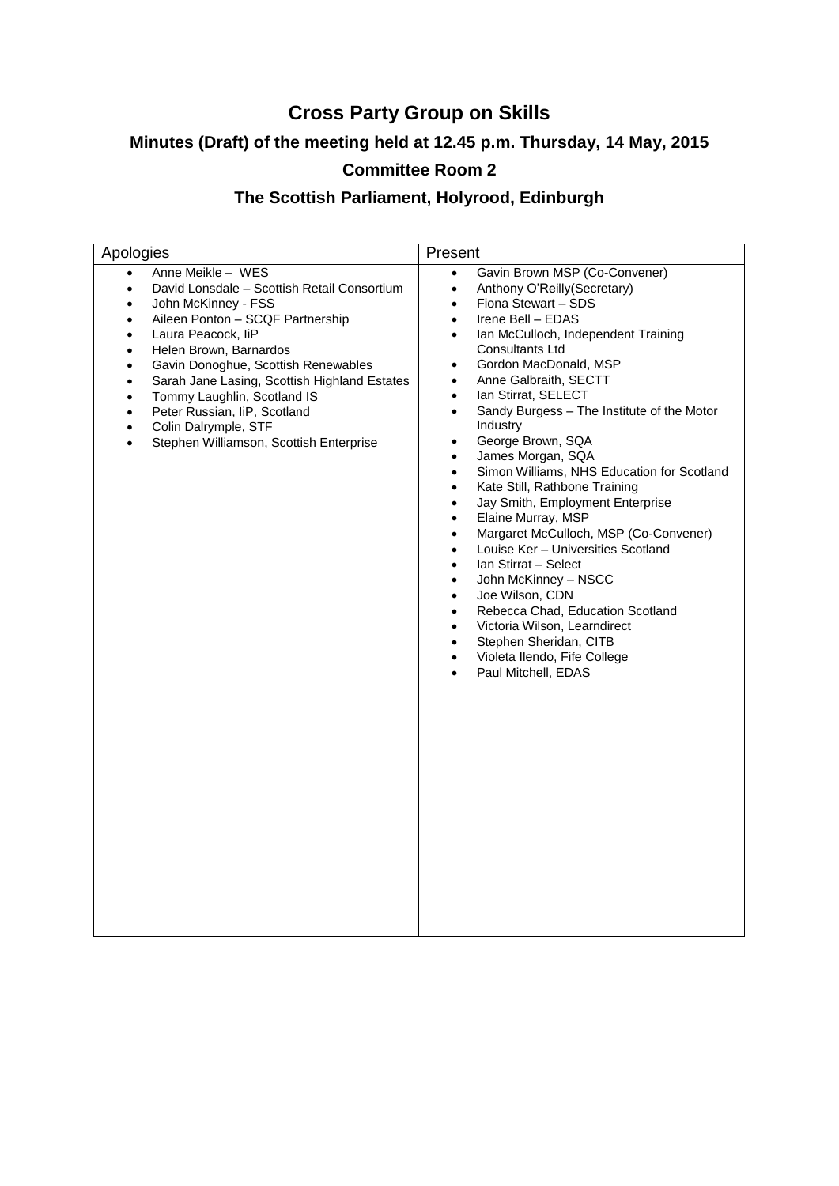# **Cross Party Group on Skills**

# **Minutes (Draft) of the meeting held at 12.45 p.m. Thursday, 14 May, 2015**

# **Committee Room 2**

# **The Scottish Parliament, Holyrood, Edinburgh**

| Apologies                                                                                                                                                                                                                                                                                                                                                                                                                                                                                                                      | Present                                                                                                                                                                                                                                                                                                                                                                                                                                                                                                                                                                                                                                                                                                                                                                                                                                                                                                                                                                                                                                                                                      |
|--------------------------------------------------------------------------------------------------------------------------------------------------------------------------------------------------------------------------------------------------------------------------------------------------------------------------------------------------------------------------------------------------------------------------------------------------------------------------------------------------------------------------------|----------------------------------------------------------------------------------------------------------------------------------------------------------------------------------------------------------------------------------------------------------------------------------------------------------------------------------------------------------------------------------------------------------------------------------------------------------------------------------------------------------------------------------------------------------------------------------------------------------------------------------------------------------------------------------------------------------------------------------------------------------------------------------------------------------------------------------------------------------------------------------------------------------------------------------------------------------------------------------------------------------------------------------------------------------------------------------------------|
| Anne Meikle - WES<br>David Lonsdale - Scottish Retail Consortium<br>$\bullet$<br>John McKinney - FSS<br>$\bullet$<br>Aileen Ponton - SCQF Partnership<br>Laura Peacock, liP<br>$\bullet$<br>Helen Brown, Barnardos<br>$\bullet$<br>Gavin Donoghue, Scottish Renewables<br>$\bullet$<br>Sarah Jane Lasing, Scottish Highland Estates<br>٠<br>Tommy Laughlin, Scotland IS<br>$\bullet$<br>Peter Russian, IiP, Scotland<br>$\bullet$<br>Colin Dalrymple, STF<br>$\bullet$<br>Stephen Williamson, Scottish Enterprise<br>$\bullet$ | Gavin Brown MSP (Co-Convener)<br>$\bullet$<br>Anthony O'Reilly(Secretary)<br>$\bullet$<br>Fiona Stewart - SDS<br>$\bullet$<br>Irene Bell - EDAS<br>$\bullet$<br>Ian McCulloch, Independent Training<br>$\bullet$<br><b>Consultants Ltd</b><br>Gordon MacDonald, MSP<br>$\bullet$<br>Anne Galbraith, SECTT<br>٠<br>Ian Stirrat, SELECT<br>$\bullet$<br>Sandy Burgess - The Institute of the Motor<br>$\bullet$<br>Industry<br>George Brown, SQA<br>$\bullet$<br>James Morgan, SQA<br>$\bullet$<br>Simon Williams, NHS Education for Scotland<br>$\bullet$<br>Kate Still, Rathbone Training<br>$\bullet$<br>Jay Smith, Employment Enterprise<br>$\bullet$<br>Elaine Murray, MSP<br>Margaret McCulloch, MSP (Co-Convener)<br>$\bullet$<br>Louise Ker - Universities Scotland<br>$\bullet$<br>Ian Stirrat - Select<br>$\bullet$<br>John McKinney - NSCC<br>$\bullet$<br>Joe Wilson, CDN<br>$\bullet$<br>Rebecca Chad, Education Scotland<br>$\bullet$<br>Victoria Wilson, Learndirect<br>$\bullet$<br>Stephen Sheridan, CITB<br>$\bullet$<br>Violeta Ilendo, Fife College<br>Paul Mitchell, EDAS |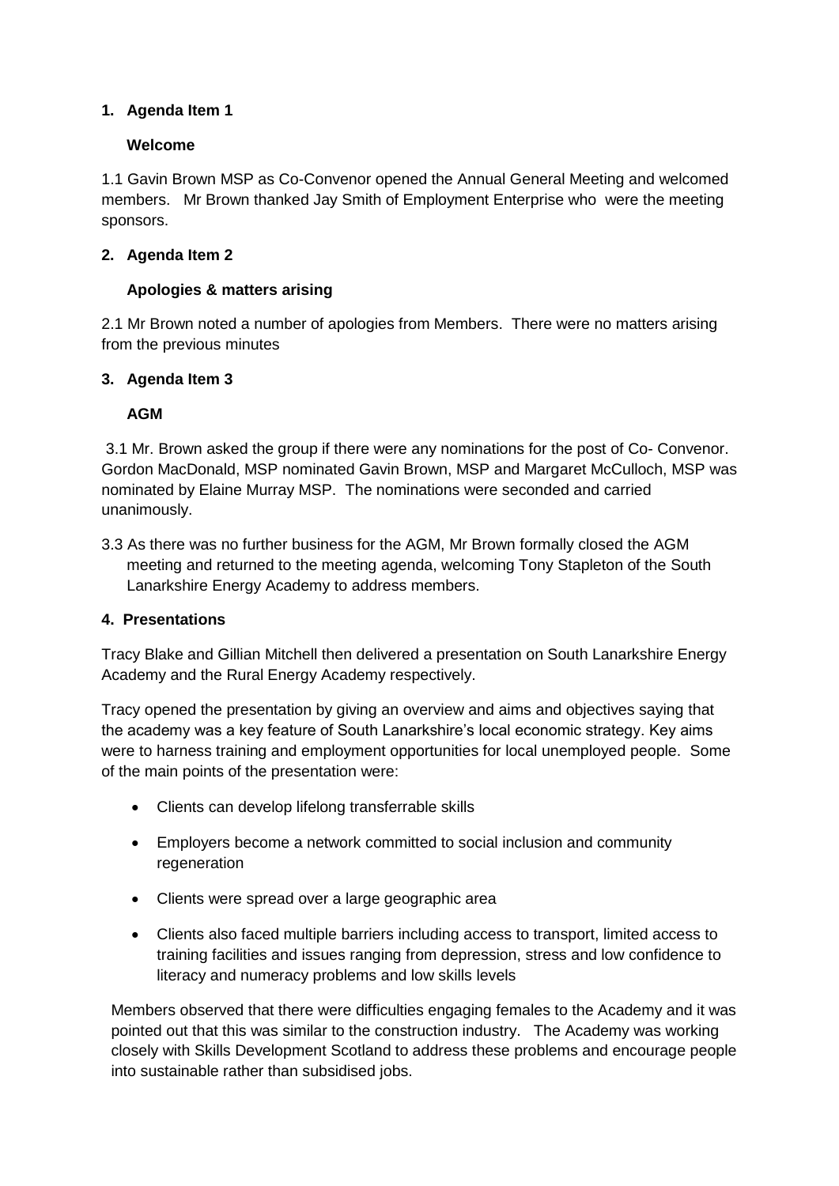# **1. Agenda Item 1**

#### **Welcome**

1.1 Gavin Brown MSP as Co-Convenor opened the Annual General Meeting and welcomed members. Mr Brown thanked Jay Smith of Employment Enterprise who were the meeting sponsors.

## **2. Agenda Item 2**

#### **Apologies & matters arising**

2.1 Mr Brown noted a number of apologies from Members. There were no matters arising from the previous minutes

#### **3. Agenda Item 3**

#### **AGM**

3.1 Mr. Brown asked the group if there were any nominations for the post of Co- Convenor. Gordon MacDonald, MSP nominated Gavin Brown, MSP and Margaret McCulloch, MSP was nominated by Elaine Murray MSP. The nominations were seconded and carried unanimously.

3.3 As there was no further business for the AGM, Mr Brown formally closed the AGM meeting and returned to the meeting agenda, welcoming Tony Stapleton of the South Lanarkshire Energy Academy to address members.

#### **4. Presentations**

Tracy Blake and Gillian Mitchell then delivered a presentation on South Lanarkshire Energy Academy and the Rural Energy Academy respectively.

Tracy opened the presentation by giving an overview and aims and objectives saying that the academy was a key feature of South Lanarkshire's local economic strategy. Key aims were to harness training and employment opportunities for local unemployed people. Some of the main points of the presentation were:

- Clients can develop lifelong transferrable skills
- Employers become a network committed to social inclusion and community regeneration
- Clients were spread over a large geographic area
- Clients also faced multiple barriers including access to transport, limited access to training facilities and issues ranging from depression, stress and low confidence to literacy and numeracy problems and low skills levels

Members observed that there were difficulties engaging females to the Academy and it was pointed out that this was similar to the construction industry. The Academy was working closely with Skills Development Scotland to address these problems and encourage people into sustainable rather than subsidised jobs.